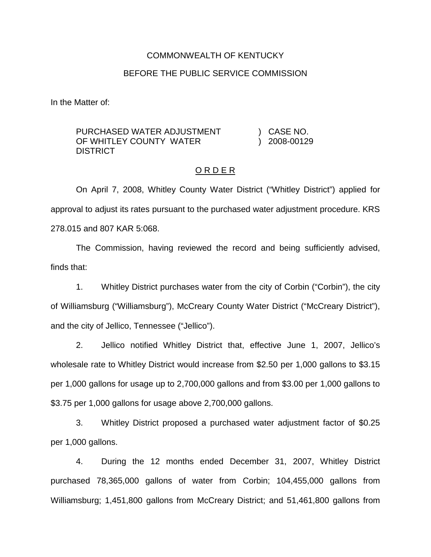#### COMMONWEALTH OF KENTUCKY

#### BEFORE THE PUBLIC SERVICE COMMISSION

In the Matter of:

PURCHASED WATER ADJUSTMENT OF WHITI FY COUNTY WATER **DISTRICT** ) CASE NO. ) 2008-00129

## O R D E R

On April 7, 2008, Whitley County Water District ("Whitley District") applied for approval to adjust its rates pursuant to the purchased water adjustment procedure. KRS 278.015 and 807 KAR 5:068.

The Commission, having reviewed the record and being sufficiently advised, finds that:

1. Whitley District purchases water from the city of Corbin ("Corbin"), the city of Williamsburg ("Williamsburg"), McCreary County Water District ("McCreary District"), and the city of Jellico, Tennessee ("Jellico").

2. Jellico notified Whitley District that, effective June 1, 2007, Jellico's wholesale rate to Whitley District would increase from \$2.50 per 1,000 gallons to \$3.15 per 1,000 gallons for usage up to 2,700,000 gallons and from \$3.00 per 1,000 gallons to \$3.75 per 1,000 gallons for usage above 2,700,000 gallons.

3. Whitley District proposed a purchased water adjustment factor of \$0.25 per 1,000 gallons.

4. During the 12 months ended December 31, 2007, Whitley District purchased 78,365,000 gallons of water from Corbin; 104,455,000 gallons from Williamsburg; 1,451,800 gallons from McCreary District; and 51,461,800 gallons from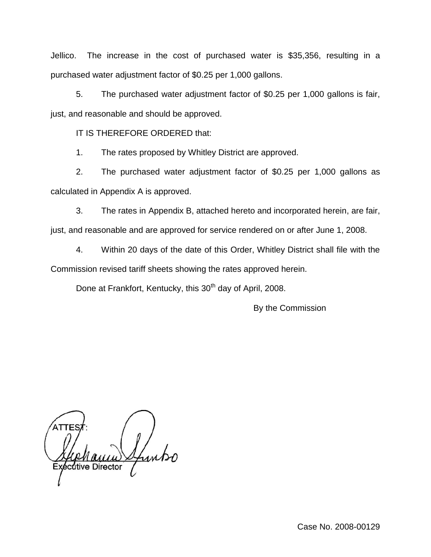Jellico. The increase in the cost of purchased water is \$35,356, resulting in a purchased water adjustment factor of \$0.25 per 1,000 gallons.

5. The purchased water adjustment factor of \$0.25 per 1,000 gallons is fair, just, and reasonable and should be approved.

IT IS THEREFORE ORDERED that:

1. The rates proposed by Whitley District are approved.

2. The purchased water adjustment factor of \$0.25 per 1,000 gallons as calculated in Appendix A is approved.

3. The rates in Appendix B, attached hereto and incorporated herein, are fair, just, and reasonable and are approved for service rendered on or after June 1, 2008.

4. Within 20 days of the date of this Order, Whitley District shall file with the Commission revised tariff sheets showing the rates approved herein.

Done at Frankfort, Kentucky, this 30<sup>th</sup> day of April, 2008.

By the Commission

Itive Director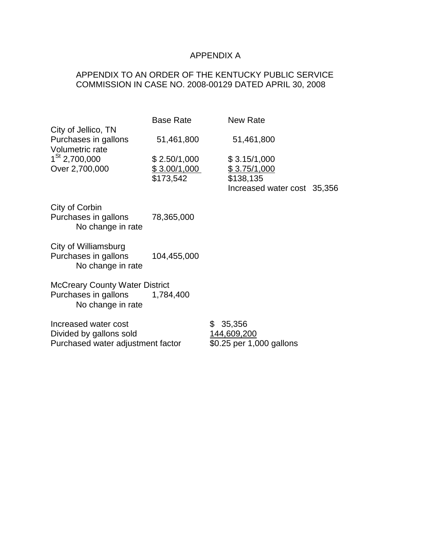# APPENDIX A

## APPENDIX TO AN ORDER OF THE KENTUCKY PUBLIC SERVICE COMMISSION IN CASE NO. 2008-00129 DATED APRIL 30, 2008

|                                                                         | <b>Base Rate</b>         | <b>New Rate</b>             |  |  |  |  |
|-------------------------------------------------------------------------|--------------------------|-----------------------------|--|--|--|--|
| City of Jellico, TN                                                     |                          |                             |  |  |  |  |
| Purchases in gallons                                                    | 51,461,800               | 51,461,800                  |  |  |  |  |
| Volumetric rate                                                         |                          |                             |  |  |  |  |
| $1^\text{St}$ 2,700,000                                                 | \$2.50/1,000             | \$3.15/1,000                |  |  |  |  |
| Over 2,700,000                                                          | \$3.00/1,000             | \$3.75/1,000                |  |  |  |  |
|                                                                         | \$173,542                | \$138,135                   |  |  |  |  |
|                                                                         |                          | Increased water cost 35,356 |  |  |  |  |
|                                                                         |                          |                             |  |  |  |  |
| City of Corbin                                                          |                          |                             |  |  |  |  |
| Purchases in gallons                                                    | 78,365,000               |                             |  |  |  |  |
| No change in rate                                                       |                          |                             |  |  |  |  |
|                                                                         |                          |                             |  |  |  |  |
| City of Williamsburg                                                    |                          |                             |  |  |  |  |
| Purchases in gallons                                                    | 104,455,000              |                             |  |  |  |  |
| No change in rate                                                       |                          |                             |  |  |  |  |
|                                                                         |                          |                             |  |  |  |  |
| <b>McCreary County Water District</b><br>Purchases in gallons 1,784,400 |                          |                             |  |  |  |  |
| No change in rate                                                       |                          |                             |  |  |  |  |
|                                                                         |                          |                             |  |  |  |  |
| Increased water cost                                                    |                          | 35,356<br>\$                |  |  |  |  |
| Divided by gallons sold                                                 |                          | 144,609,200                 |  |  |  |  |
| Purchased water adjustment factor                                       | \$0.25 per 1,000 gallons |                             |  |  |  |  |
|                                                                         |                          |                             |  |  |  |  |